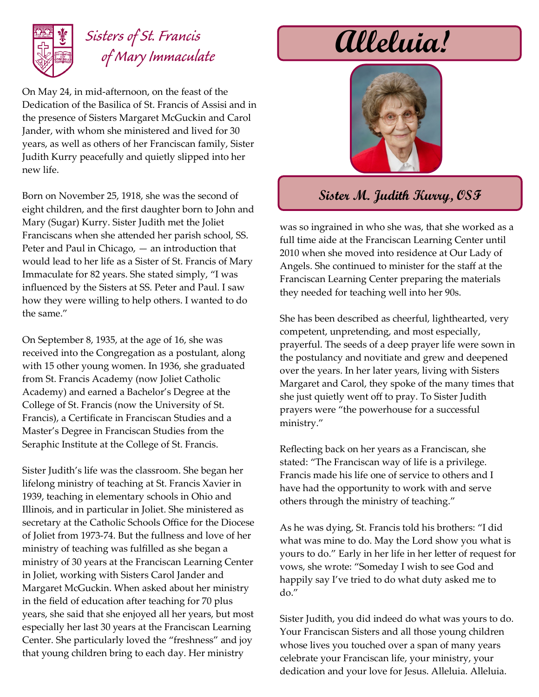

### *Sisters of St. Francis of Mary Immaculate*

On May 24, in mid-afternoon, on the feast of the Dedication of the Basilica of St. Francis of Assisi and in the presence of Sisters Margaret McGuckin and Carol Jander, with whom she ministered and lived for 30 years, as well as others of her Franciscan family, Sister Judith Kurry peacefully and quietly slipped into her new life.

Born on November 25, 1918, she was the second of eight children, and the first daughter born to John and Mary (Sugar) Kurry. Sister Judith met the Joliet Franciscans when she attended her parish school, SS. Peter and Paul in Chicago, — an introduction that would lead to her life as a Sister of St. Francis of Mary Immaculate for 82 years. She stated simply, "I was influenced by the Sisters at SS. Peter and Paul. I saw how they were willing to help others. I wanted to do the same."

On September 8, 1935, at the age of 16, she was received into the Congregation as a postulant, along with 15 other young women. In 1936, she graduated from St. Francis Academy (now Joliet Catholic Academy) and earned a Bachelor's Degree at the College of St. Francis (now the University of St. Francis), a Certificate in Franciscan Studies and a Master's Degree in Franciscan Studies from the Seraphic Institute at the College of St. Francis.

Sister Judith's life was the classroom. She began her lifelong ministry of teaching at St. Francis Xavier in 1939, teaching in elementary schools in Ohio and Illinois, and in particular in Joliet. She ministered as secretary at the Catholic Schools Office for the Diocese of Joliet from 1973-74. But the fullness and love of her ministry of teaching was fulfilled as she began a ministry of 30 years at the Franciscan Learning Center in Joliet, working with Sisters Carol Jander and Margaret McGuckin. When asked about her ministry in the field of education after teaching for 70 plus years, she said that she enjoyed all her years, but most especially her last 30 years at the Franciscan Learning Center. She particularly loved the "freshness" and joy that young children bring to each day. Her ministry

# **Alleluia!**



#### **Sister M. Judith Kurry, OSF**

was so ingrained in who she was, that she worked as a full time aide at the Franciscan Learning Center until 2010 when she moved into residence at Our Lady of Angels. She continued to minister for the staff at the Franciscan Learning Center preparing the materials they needed for teaching well into her 90s.

She has been described as cheerful, lighthearted, very competent, unpretending, and most especially, prayerful. The seeds of a deep prayer life were sown in the postulancy and novitiate and grew and deepened over the years. In her later years, living with Sisters Margaret and Carol, they spoke of the many times that she just quietly went off to pray. To Sister Judith prayers were "the powerhouse for a successful ministry."

Reflecting back on her years as a Franciscan, she stated: "The Franciscan way of life is a privilege. Francis made his life one of service to others and I have had the opportunity to work with and serve others through the ministry of teaching."

As he was dying, St. Francis told his brothers: "I did what was mine to do. May the Lord show you what is yours to do." Early in her life in her letter of request for vows, she wrote: "Someday I wish to see God and happily say I've tried to do what duty asked me to do."

Sister Judith, you did indeed do what was yours to do. Your Franciscan Sisters and all those young children whose lives you touched over a span of many years celebrate your Franciscan life, your ministry, your dedication and your love for Jesus. Alleluia. Alleluia.